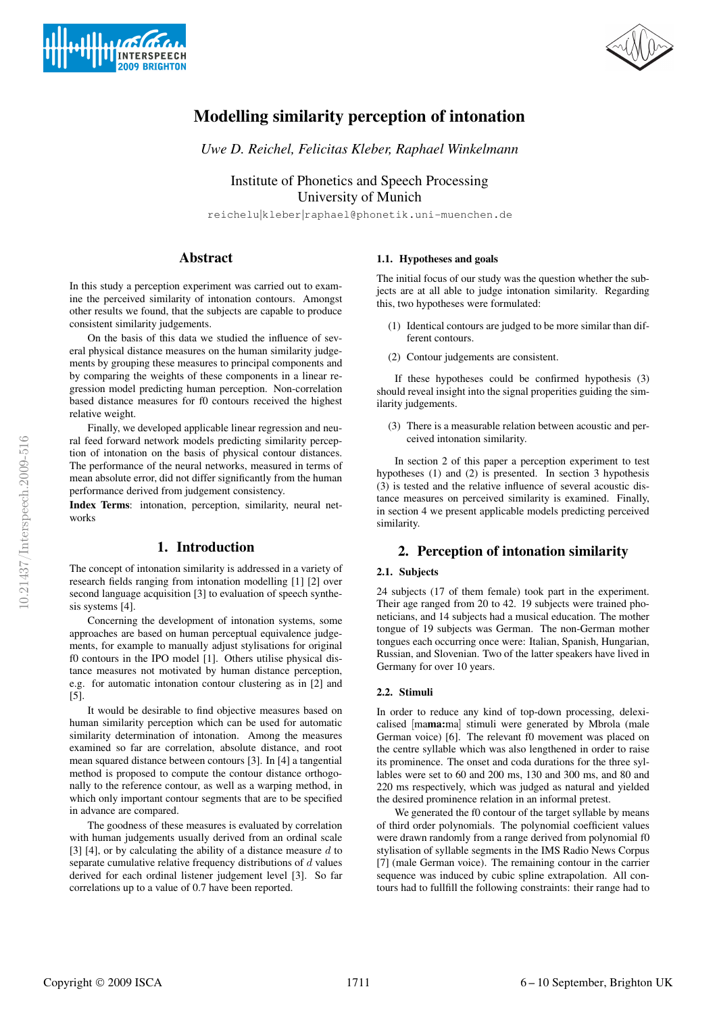



# **Modelling similarity perception of intonation**

*Uwe D. Reichel, Felicitas Kleber, Raphael Winkelmann*

Institute of Phonetics and Speech Processing University of Munich

reichelu|kleber|raphael@phonetik.uni-muenchen.de

# **Abstract**

In this study a perception experiment was carried out to examine the perceived similarity of intonation contours. Amongst other results we found, that the subjects are capable to produce consistent similarity judgements.

On the basis of this data we studied the influence of several physical distance measures on the human similarity judgements by grouping these measures to principal components and by comparing the weights of these components in a linear regression model predicting human perception. Non-correlation based distance measures for f0 contours received the highest relative weight.

Finally, we developed applicable linear regression and neural feed forward network models predicting similarity perception of intonation on the basis of physical contour distances. The performance of the neural networks, measured in terms of mean absolute error, did not differ significantly from the human performance derived from judgement consistency.

**Index Terms**: intonation, perception, similarity, neural networks

# **1. Introduction**

The concept of intonation similarity is addressed in a variety of research fields ranging from intonation modelling [1] [2] over second language acquisition [3] to evaluation of speech synthesis systems [4].

Concerning the development of intonation systems, some approaches are based on human perceptual equivalence judgements, for example to manually adjust stylisations for original f0 contours in the IPO model [1]. Others utilise physical distance measures not motivated by human distance perception, e.g. for automatic intonation contour clustering as in [2] and [5].

It would be desirable to find objective measures based on human similarity perception which can be used for automatic similarity determination of intonation. Among the measures examined so far are correlation, absolute distance, and root mean squared distance between contours [3]. In [4] a tangential method is proposed to compute the contour distance orthogonally to the reference contour, as well as a warping method, in which only important contour segments that are to be specified in advance are compared.

The goodness of these measures is evaluated by correlation with human judgements usually derived from an ordinal scale [3] [4], or by calculating the ability of a distance measure  $d$  to separate cumulative relative frequency distributions of  $d$  values derived for each ordinal listener judgement level [3]. So far correlations up to a value of 0.7 have been reported.

### **1.1. Hypotheses and goals**

The initial focus of our study was the question whether the subjects are at all able to judge intonation similarity. Regarding this, two hypotheses were formulated:

- (1) Identical contours are judged to be more similar than different contours.
- (2) Contour judgements are consistent.

If these hypotheses could be confirmed hypothesis (3) should reveal insight into the signal properities guiding the similarity judgements.

(3) There is a measurable relation between acoustic and perceived intonation similarity.

In section 2 of this paper a perception experiment to test hypotheses (1) and (2) is presented. In section 3 hypothesis (3) is tested and the relative influence of several acoustic distance measures on perceived similarity is examined. Finally, in section 4 we present applicable models predicting perceived similarity.

# **2. Perception of intonation similarity**

### **2.1. Subjects**

24 subjects (17 of them female) took part in the experiment. Their age ranged from 20 to 42. 19 subjects were trained phoneticians, and 14 subjects had a musical education. The mother tongue of 19 subjects was German. The non-German mother tongues each occurring once were: Italian, Spanish, Hungarian, Russian, and Slovenian. Two of the latter speakers have lived in Germany for over 10 years.

### **2.2. Stimuli**

In order to reduce any kind of top-down processing, delexicalised [ma**ma:**ma] stimuli were generated by Mbrola (male German voice) [6]. The relevant f0 movement was placed on the centre syllable which was also lengthened in order to raise its prominence. The onset and coda durations for the three syllables were set to 60 and 200 ms, 130 and 300 ms, and 80 and 220 ms respectively, which was judged as natural and yielded the desired prominence relation in an informal pretest.

We generated the f0 contour of the target syllable by means of third order polynomials. The polynomial coefficient values were drawn randomly from a range derived from polynomial f0 stylisation of syllable segments in the IMS Radio News Corpus [7] (male German voice). The remaining contour in the carrier sequence was induced by cubic spline extrapolation. All contours had to fullfill the following constraints: their range had to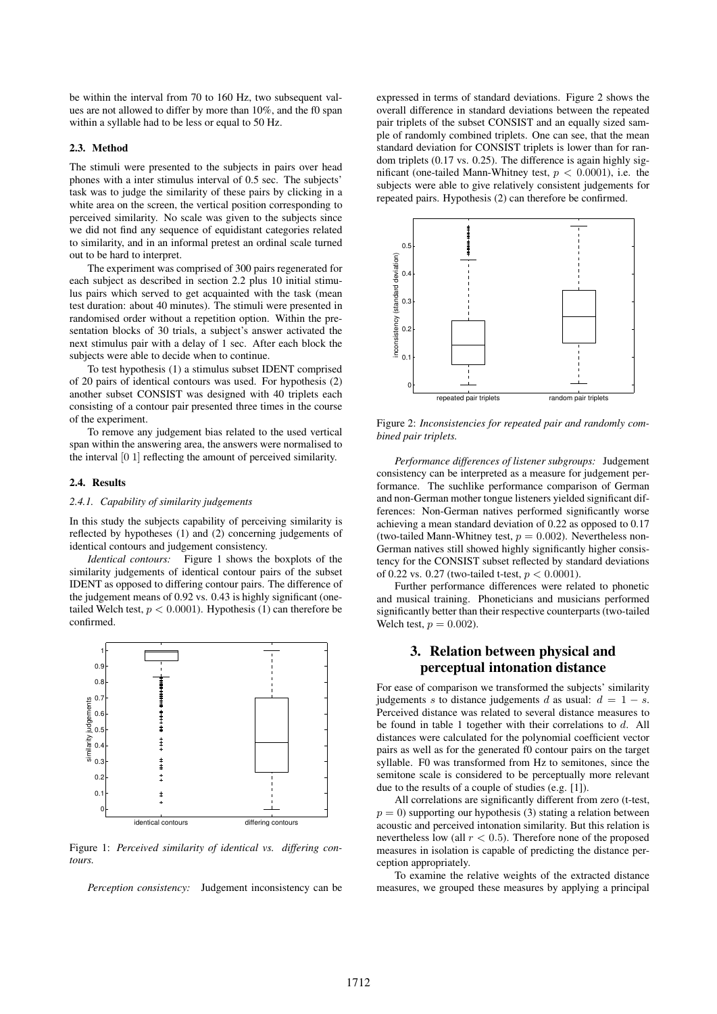be within the interval from 70 to 160 Hz, two subsequent values are not allowed to differ by more than 10%, and the f0 span within a syllable had to be less or equal to 50 Hz.

### **2.3. Method**

The stimuli were presented to the subjects in pairs over head phones with a inter stimulus interval of 0.5 sec. The subjects' task was to judge the similarity of these pairs by clicking in a white area on the screen, the vertical position corresponding to perceived similarity. No scale was given to the subjects since we did not find any sequence of equidistant categories related to similarity, and in an informal pretest an ordinal scale turned out to be hard to interpret.

The experiment was comprised of 300 pairs regenerated for each subject as described in section 2.2 plus 10 initial stimulus pairs which served to get acquainted with the task (mean test duration: about 40 minutes). The stimuli were presented in randomised order without a repetition option. Within the presentation blocks of 30 trials, a subject's answer activated the next stimulus pair with a delay of 1 sec. After each block the subjects were able to decide when to continue.

To test hypothesis (1) a stimulus subset IDENT comprised of 20 pairs of identical contours was used. For hypothesis (2) another subset CONSIST was designed with 40 triplets each consisting of a contour pair presented three times in the course of the experiment.

To remove any judgement bias related to the used vertical span within the answering area, the answers were normalised to the interval [0 1] reflecting the amount of perceived similarity.

#### **2.4. Results**

#### *2.4.1. Capability of similarity judgements*

In this study the subjects capability of perceiving similarity is reflected by hypotheses (1) and (2) concerning judgements of identical contours and judgement consistency.

*Identical contours:* Figure 1 shows the boxplots of the similarity judgements of identical contour pairs of the subset IDENT as opposed to differing contour pairs. The difference of the judgement means of 0.92 vs. 0.43 is highly significant (onetailed Welch test,  $p < 0.0001$ ). Hypothesis (1) can therefore be confirmed.



Figure 1: *Perceived similarity of identical vs. differing contours.*

*Perception consistency:* Judgement inconsistency can be

expressed in terms of standard deviations. Figure 2 shows the overall difference in standard deviations between the repeated pair triplets of the subset CONSIST and an equally sized sample of randomly combined triplets. One can see, that the mean standard deviation for CONSIST triplets is lower than for random triplets (0.17 vs. 0.25). The difference is again highly significant (one-tailed Mann-Whitney test,  $p < 0.0001$ ), i.e. the subjects were able to give relatively consistent judgements for repeated pairs. Hypothesis (2) can therefore be confirmed.



Figure 2: *Inconsistencies for repeated pair and randomly combined pair triplets.*

*Performance differences of listener subgroups:* Judgement consistency can be interpreted as a measure for judgement performance. The suchlike performance comparison of German and non-German mother tongue listeners yielded significant differences: Non-German natives performed significantly worse achieving a mean standard deviation of 0.22 as opposed to 0.17 (two-tailed Mann-Whitney test,  $p = 0.002$ ). Nevertheless non-German natives still showed highly significantly higher consistency for the CONSIST subset reflected by standard deviations of 0.22 vs. 0.27 (two-tailed t-test,  $p < 0.0001$ ).

Further performance differences were related to phonetic and musical training. Phoneticians and musicians performed significantly better than their respective counterparts (two-tailed Welch test,  $p = 0.002$ ).

## **3. Relation between physical and perceptual intonation distance**

For ease of comparison we transformed the subjects' similarity judgements s to distance judgements d as usual:  $d = 1 - s$ . Perceived distance was related to several distance measures to be found in table 1 together with their correlations to  $d$ . All distances were calculated for the polynomial coefficient vector pairs as well as for the generated f0 contour pairs on the target syllable. F0 was transformed from Hz to semitones, since the semitone scale is considered to be perceptually more relevant due to the results of a couple of studies (e.g. [1]).

All correlations are significantly different from zero (t-test,  $p = 0$ ) supporting our hypothesis (3) stating a relation between acoustic and perceived intonation similarity. But this relation is nevertheless low (all  $r < 0.5$ ). Therefore none of the proposed measures in isolation is capable of predicting the distance perception appropriately.

To examine the relative weights of the extracted distance measures, we grouped these measures by applying a principal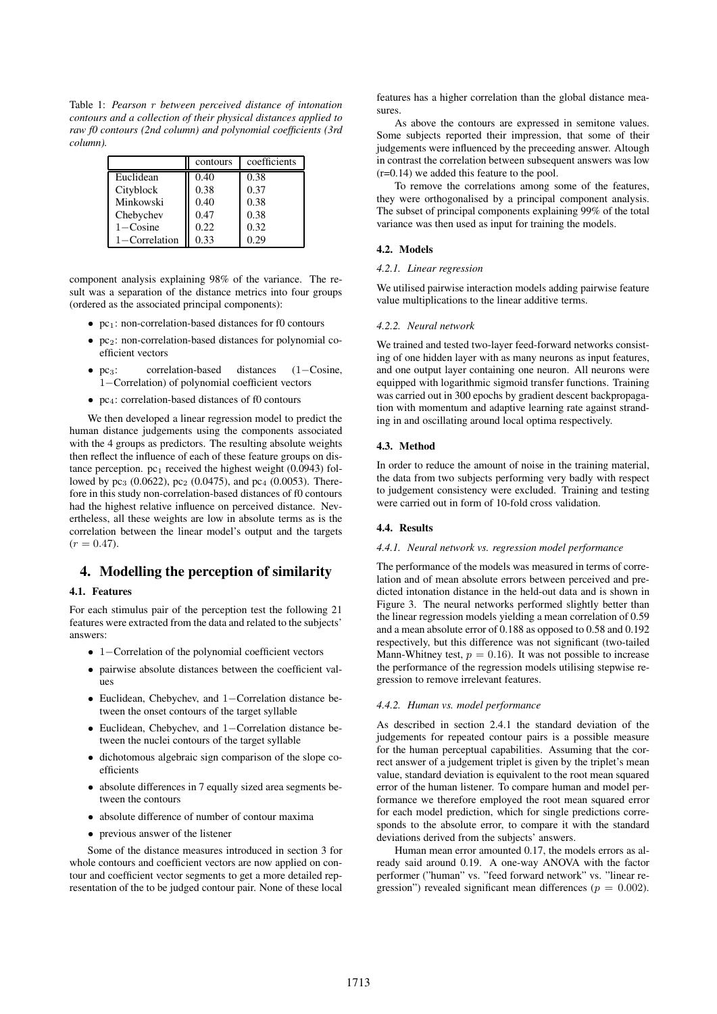Table 1: *Pearson* r *between perceived distance of intonation contours and a collection of their physical distances applied to raw f0 contours (2nd column) and polynomial coefficients (3rd column).*

|                     | contours | coefficients |
|---------------------|----------|--------------|
| Euclidean           | 0.40     | 0.38         |
| Cityblock           | 0.38     | 0.37         |
| Minkowski           | 0.40     | 0.38         |
| Chebychev           | 0.47     | 0.38         |
| $1 - \text{Cosine}$ | 0.22     | 0.32         |
| 1-Correlation       | 0.33     | 0.29         |

component analysis explaining 98% of the variance. The result was a separation of the distance metrics into four groups (ordered as the associated principal components):

- $pc<sub>1</sub>$ : non-correlation-based distances for f0 contours
- $pc<sub>2</sub>$ : non-correlation-based distances for polynomial coefficient vectors
- pc3: correlation-based distances (1−Cosine, 1−Correlation) of polynomial coefficient vectors
- $\bullet$  pc<sub>4</sub>: correlation-based distances of f0 contours

We then developed a linear regression model to predict the human distance judgements using the components associated with the 4 groups as predictors. The resulting absolute weights then reflect the influence of each of these feature groups on distance perception.  $pc<sub>1</sub>$  received the highest weight (0.0943) followed by  $pc_3$  (0.0622),  $pc_2$  (0.0475), and  $pc_4$  (0.0053). Therefore in this study non-correlation-based distances of f0 contours had the highest relative influence on perceived distance. Nevertheless, all these weights are low in absolute terms as is the correlation between the linear model's output and the targets  $(r = 0.47).$ 

# **4. Modelling the perception of similarity**

### **4.1. Features**

For each stimulus pair of the perception test the following 21 features were extracted from the data and related to the subjects' answers:

- 1−Correlation of the polynomial coefficient vectors
- pairwise absolute distances between the coefficient values
- Euclidean, Chebychev, and 1−Correlation distance between the onset contours of the target syllable
- Euclidean, Chebychev, and 1−Correlation distance between the nuclei contours of the target syllable
- dichotomous algebraic sign comparison of the slope coefficients
- absolute differences in 7 equally sized area segments between the contours
- absolute difference of number of contour maxima
- previous answer of the listener

Some of the distance measures introduced in section 3 for whole contours and coefficient vectors are now applied on contour and coefficient vector segments to get a more detailed representation of the to be judged contour pair. None of these local features has a higher correlation than the global distance measures.

As above the contours are expressed in semitone values. Some subjects reported their impression, that some of their judgements were influenced by the preceeding answer. Altough in contrast the correlation between subsequent answers was low (r=0.14) we added this feature to the pool.

To remove the correlations among some of the features, they were orthogonalised by a principal component analysis. The subset of principal components explaining 99% of the total variance was then used as input for training the models.

### **4.2. Models**

### *4.2.1. Linear regression*

We utilised pairwise interaction models adding pairwise feature value multiplications to the linear additive terms.

#### *4.2.2. Neural network*

We trained and tested two-layer feed-forward networks consisting of one hidden layer with as many neurons as input features, and one output layer containing one neuron. All neurons were equipped with logarithmic sigmoid transfer functions. Training was carried out in 300 epochs by gradient descent backpropagation with momentum and adaptive learning rate against stranding in and oscillating around local optima respectively.

### **4.3. Method**

In order to reduce the amount of noise in the training material, the data from two subjects performing very badly with respect to judgement consistency were excluded. Training and testing were carried out in form of 10-fold cross validation.

### **4.4. Results**

### *4.4.1. Neural network vs. regression model performance*

The performance of the models was measured in terms of correlation and of mean absolute errors between perceived and predicted intonation distance in the held-out data and is shown in Figure 3. The neural networks performed slightly better than the linear regression models yielding a mean correlation of 0.59 and a mean absolute error of 0.188 as opposed to 0.58 and 0.192 respectively, but this difference was not significant (two-tailed Mann-Whitney test,  $p = 0.16$ ). It was not possible to increase the performance of the regression models utilising stepwise regression to remove irrelevant features.

#### *4.4.2. Human vs. model performance*

As described in section 2.4.1 the standard deviation of the judgements for repeated contour pairs is a possible measure for the human perceptual capabilities. Assuming that the correct answer of a judgement triplet is given by the triplet's mean value, standard deviation is equivalent to the root mean squared error of the human listener. To compare human and model performance we therefore employed the root mean squared error for each model prediction, which for single predictions corresponds to the absolute error, to compare it with the standard deviations derived from the subjects' answers.

Human mean error amounted 0.17, the models errors as already said around 0.19. A one-way ANOVA with the factor performer ("human" vs. "feed forward network" vs. "linear regression") revealed significant mean differences ( $p = 0.002$ ).